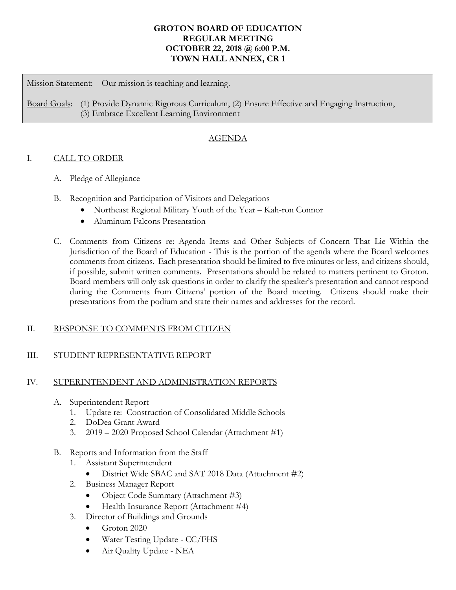# **GROTON BOARD OF EDUCATION REGULAR MEETING OCTOBER 22, 2018 @ 6:00 P.M. TOWN HALL ANNEX, CR 1**

Mission Statement: Our mission is teaching and learning.

Board Goals: (1) Provide Dynamic Rigorous Curriculum, (2) Ensure Effective and Engaging Instruction, (3) Embrace Excellent Learning Environment

# AGENDA

## I. CALL TO ORDER

- A. Pledge of Allegiance
- B. Recognition and Participation of Visitors and Delegations
	- Northeast Regional Military Youth of the Year Kah-ron Connor
	- Aluminum Falcons Presentation
- C. Comments from Citizens re: Agenda Items and Other Subjects of Concern That Lie Within the Jurisdiction of the Board of Education - This is the portion of the agenda where the Board welcomes comments from citizens. Each presentation should be limited to five minutes or less, and citizens should, if possible, submit written comments. Presentations should be related to matters pertinent to Groton. Board members will only ask questions in order to clarify the speaker's presentation and cannot respond during the Comments from Citizens' portion of the Board meeting. Citizens should make their presentations from the podium and state their names and addresses for the record.

## II. RESPONSE TO COMMENTS FROM CITIZEN

## III. STUDENT REPRESENTATIVE REPORT

## IV. SUPERINTENDENT AND ADMINISTRATION REPORTS

- A. Superintendent Report
	- 1. Update re: Construction of Consolidated Middle Schools
	- 2. DoDea Grant Award
	- 3. 2019 2020 Proposed School Calendar (Attachment #1)
- B. Reports and Information from the Staff
	- 1. Assistant Superintendent
		- District Wide SBAC and SAT 2018 Data (Attachment #2)
	- 2. Business Manager Report
		- Object Code Summary (Attachment #3)
		- Health Insurance Report (Attachment #4)
	- 3. Director of Buildings and Grounds
		- Groton 2020
		- Water Testing Update CC/FHS
		- Air Quality Update NEA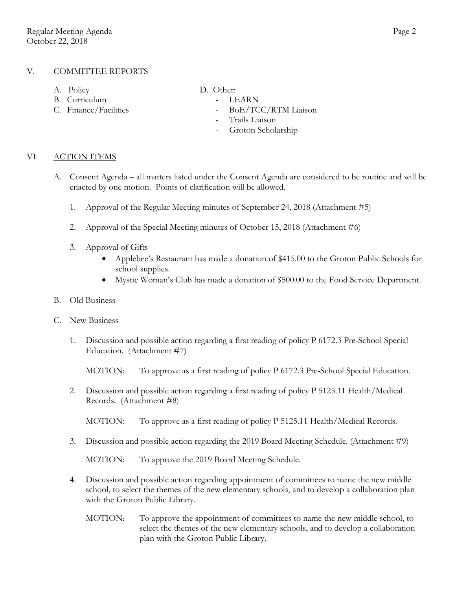## V. COMMITTEE REPORTS

- A. Policy D. Other:
- B. Curriculum LEARN
- 
- -
- C. Finance/Facilities BoE/TCC/RTM Liaison
	- Trails Liaison
	- Groton Scholarship

#### VI. ACTION ITEMS

- A. Consent Agenda all matters listed under the Consent Agenda are considered to be routine and will be enacted by one motion. Points of clarification will be allowed.
	- 1. Approval of the Regular Meeting minutes of September 24, 2018 (Attachment #5)
	- 2. Approval of the Special Meeting minutes of October 15, 2018 (Attachment #6)
	- 3. Approval of Gifts
		- Applebee's Restaurant has made a donation of \$415.00 to the Groton Public Schools for school supplies.
		- Mystic Woman's Club has made a donation of \$500.00 to the Food Service Department.
- B. Old Business
- C. New Business
	- 1. Discussion and possible action regarding a first reading of policy P 6172.3 Pre-School Special Education. (Attachment #7)

MOTION: To approve as a first reading of policy P 6172.3 Pre-School Special Education.

2. Discussion and possible action regarding a first reading of policy P 5125.11 Health/Medical Records. (Attachment #8)

MOTION: To approve as a first reading of policy P 5125.11 Health/Medical Records.

3. Discussion and possible action regarding the 2019 Board Meeting Schedule. (Attachment #9)

MOTION: To approve the 2019 Board Meeting Schedule.

- 4. Discussion and possible action regarding appointment of committees to name the new middle school, to select the themes of the new elementary schools, and to develop a collaboration plan with the Groton Public Library.
	- MOTION: To approve the appointment of committees to name the new middle school, to select the themes of the new elementary schools, and to develop a collaboration plan with the Groton Public Library.